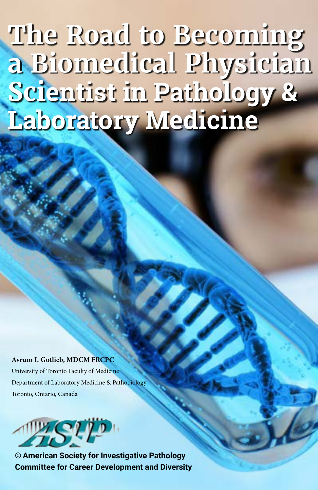**The Road to Becoming a Biomedical Physician Scientist in Pathology & Laboratory Medicine**

**Avrum I. Gotlieb, MDCM FRCPC**

University of Toronto Faculty of Medicine Department of Laboratory Medicine & Pathobiology Toronto, Ontario, Canada



**© American Society for Investigative Pathology Committee for Career Development and Diversity**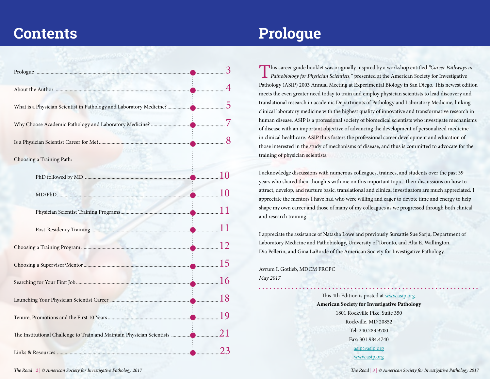# **Contents Prologue**

| Choosing a Training Path: |  |
|---------------------------|--|
|                           |  |
|                           |  |
|                           |  |
|                           |  |
|                           |  |
|                           |  |
|                           |  |
|                           |  |
|                           |  |
|                           |  |
|                           |  |

This career guide booklet was originally inspired by a workshop entitled *"Career Pathways in Pathobiology for Physician Scientists,*" presented at the American Society for Investigative Pathology (ASIP) 2003 Annual Meeting at Experimental Biology in San Diego. This newest edition meets the even greater need today to train and employ physician scientists to lead discovery and translational research in academic Departments of Pathology and Laboratory Medicine, linking clinical laboratory medicine with the highest quality of innovative and transformative research in human disease. ASIP is a professional society of biomedical scientists who investigate mechanisms of disease with an important objective of advancing the development of personalized medicine in clinical healthcare. ASIP thus fosters the professional career development and education of those interested in the study of mechanisms of disease, and thus is committed to advocate for the training of physician scientists.

I acknowledge discussions with numerous colleagues, trainees, and students over the past 39 years who shared their thoughts with me on this important topic. Their discussions on how to attract, develop, and nurture basic, translational and clinical investigators are much appreciated. I appreciate the mentors I have had who were willing and eager to devote time and energy to help shape my own career and those of many of my colleagues as we progressed through both clinical and research training.

I appreciate the assistance of Natasha Lowe and previously Sursattie Sue Sarju, Department of Laboratory Medicine and Pathobiology, University of Toronto, and Alta E. Wallington, Dia Pellerin, and Gina LaBorde of the American Society for Investigative Pathology.

Avrum I. Gotlieb, MDCM FRCPC *May 2017*

> This 4th Edition is posted at [www.asip.org.](www.asip.org) **American Society for Investigative Pathology**  1801 Rockville Pike, Suite 350 Rockville, MD 20852 Tel: 240.283.9700 Fax: 301.984.4740 [asip@asip.org](mailto:asip@asip.org) [www.asip.or](http://www.asip.org)g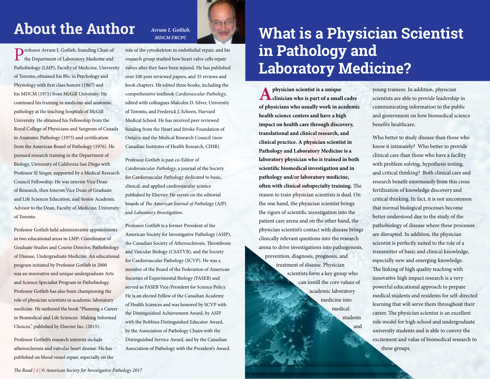## **About the Author**

Professor Avrum I. Gotlieb, founding Chair of the Department of Laboratory Medicine and Pathobiology (LMP), Faculty of Medicine, University of Toronto, obtained his BSc in Psychology and Physiology with first class honors (1967) and his MDCM (1971) from McGill University. He continued his training in medicine and anatomic pathology at the teaching hospitals of McGill University. He obtained his Fellowship from the Royal College of Physicians and Surgeons of Canada in Anatomic Pathology (1975) and certification from the American Board of Pathology (1976). He pursued research training in the Department of Biology, University of California San Diego with Professor SJ Singer, supported by a Medical Research Council Fellowship. He was interim Vice Dean of Research, then Interim Vice Dean of Graduate and Life Sciences Education, and Senior Academic Advisor to the Dean, Faculty of Medicine, University of Toronto.

Professor Gotlieb held administrative appointments in two educational areas in LMP: Coordinator of Graduate Studies and Course Director, Pathobiology of Disease, Undergraduate Medicine. An educational program initiated by Professor Gotlieb in 2000 was an innovative and unique undergraduate Arts and Science Specialist Program in Pathobiology. Professor Gotlieb has also been championing the role of physician scientists in academic laboratory medicine. He authored the book "Planning a Career in Biomedical and Life Sciences: Making Informed Choices," published by Elsevier Inc. (2015).

Professor Gotlieb's research interests include atherosclerosis and valvular heart disease. He has published on blood vessel repair, especially on the

### *Avrum I. Gotlieb, MDCM FRCPC*

role of the cytoskeleton in endothelial repair, and his research group studied how heart valve cells repair valves after they have been injured. He has published over 100 peer reviewed papers, and 35 reviews and book chapters. He edited three books, including the comprehensive textbook *Cardiovascular Pathology*, edited with colleagues Malcolm D. Silver, University of Toronto, and Frederick J. Schoen, Harvard Medical School. He has received peer reviewed funding from the Heart and Stroke Foundation of Ontario and the Medical Research Council (now Canadian Institutes of Health Research, CIHR).

Professor Gotlieb is past co-Editor of *Cardiovascular Pathology*, a journal of the Society for Cardiovascular Pathology dedicated to basic, clinical, and applied cardiovascular science published by Elsevier. He serves on the editorial boards of *The American Journal of Patholo*gy (AJP) and *Laboratory Investigation*.

Professor Gotlieb is a former President of the American Society for Investigative Pathology (ASIP), the Canadian Society of Atherosclerosis, Thrombosis and Vascular Biology (CSATVB), and the Society for Cardiovascular Pathology (SCVP). He was a member of the Board of the Federation of American Societies of Experimental Biology (FASEB) and served as FASEB Vice-President for Science Policy. He is an elected Fellow of the Canadian Academy of Health Sciences and was honored by SCVP with the Distinguished Achievement Award, by ASIP with the Robbins Distinguished Educator Award, by the Association of Pathology Chairs with the Distinguished Service Award, and by the Canadian Association of Pathology with the President's Award.

# **What is a Physician Scientist in Pathology and Laboratory Medicine?**

and

**Aphysician scientist is a unique clinician who is part of a small cadre of physicians who usually work in academic health science centers and have a high impact on health care through discovery, translational and clinical research, and clinical practice. A physician scientist in Pathology and Laboratory Medicine is a laboratory physician who is trained in both scientific biomedical investigation and in pathology and/or laboratory medicine, often with clinical subspecialty training.** The reason to train physician scientists is dual. On the one hand, the physician scientist brings the rigors of scientific investigation into the patient care arena and on the other hand, the physician scientist's contact with disease brings clinically relevant questions into the research arena to drive investigations into pathogenesis, prevention, diagnosis, prognosis, and treatment of disease. Physician scientists form a key group who can instill the core values of academic laboratory medicine into medical students

young trainees. In addition, physician scientists are able to provide leadership in communicating information to the public and government on how biomedical science benefits healthcare.

Who better to study disease than those who know it intimately? Who better to provide clinical care than those who have a facility with problem solving, hypothesis testing, and critical thinking? Both clinical care and research benefit enormously from this cross fertilization of knowledge discovery and critical thinking. In fact, it is not uncommon that normal biological processes become better understood due to the study of the pathobiology of disease where these processes are disrupted. In addition, the physician scientist is perfectly suited to the role of a transmitter of basic and clinical knowledge, especially new and emerging knowledge. The linking of high quality teaching with innovative high impact research is a very powerful educational approach to prepare medical students and residents for self-directed learning that will serve them throughout their career. The physician scientist is an excellent role model for high school and undergraduate university students and is able to convey the excitement and value of biomedical research to these groups.

*The Road | 4 | © American Society for Investigative Pathology 2017*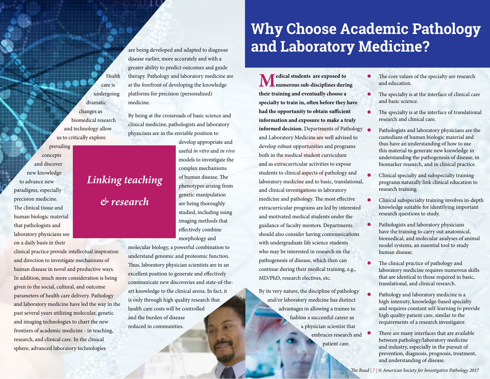Health care is undergoing dramatic changes as biomedical research and technology allow us to critically explore

*Linking teaching* 

*& research*

concepts and discover new knowledge to advance new paradigms, especially precision medicine. The clinical tissue and human biologic material that pathologists and laboratory physicians see on a daily basis in their

prevailing

clinical practice provide intellectual inspiration and direction to investigate mechanisms of human disease in novel and productive ways. In addition, much more consideration is being given to the social, cultural, and outcome parameters of health care delivery. Pathology and laboratory medicine have led the way in the past several years utilizing molecular, genetic and imaging technologies to chart the new frontiers of academic medicine - in teaching, research, and clinical care. In the clinical sphere, advanced laboratory technologies

are being developed and adapted to diagnose disease earlier, more accurately and with a greater ability to predict outcomes and guide therapy. Pathology and laboratory medicine are at the forefront of developing the knowledge platforms for precision (personalized) medicine.

By being at the crossroads of basic science and clinical medicine, pathologists and laboratory physicians are in the enviable position to

> develop appropriate and useful *in vitro* and *in vivo*  models to investigate the complex mechanisms of human disease. The phenotypes arising from genetic manipulation are being thoroughly studied, including using imaging methods that effectively combine morphology and

molecular biology, a powerful combination to understand genomic and proteomic function. Thus, laboratory physician scientists are in an excellent position to generate and effectively communicate new discoveries and state-of-theart knowledge to the clinical arena. In fact, it is only through high quality research that health care costs will be controlled and the burden of disease reduced in communities.

## **Why Choose Academic Pathology and Laboratory Medicine?**

**Medical students are exposed to numerous sub-disciplines during their training and eventually choose a specialty to train in, often before they have had the opportunity to obtain sufficient information and exposure to make a truly informed decision.** Departments of Pathology  $\bullet$ and Laboratory Medicine are well advised to develop robust opportunities and programs both in the medical student curriculum and as extracurricular activities to expose students to clinical aspects of pathology and laboratory medicine and to basic, translational, and clinical investigations in laboratory medicine and pathology. The most effective extracurricular programs are led by interested and motivated medical students under the guidance of faculty mentors. Departments should also consider having communications with undergraduate life science students who may be interested in research on the pathogenesis of disease, which then can continue during their medical training, e.g., MD/PhD, research electives, etc.

By its very nature, the discipline of pathology and/or laboratory medicine has distinct advantages in allowing a trainee to fashion a successful career as a physician scientist that embraces research and patient care.

- The core values of the specialty are research and education.
- The specialty is at the interface of clinical care and basic science.
- The specialty is at the interface of translational research and clinical care.
- Pathologists and laboratory physicians are the custodians of human biologic material and thus have an understanding of how to use this material to generate new knowledge in understanding the pathogenesis of disease, in biomarker research, and in clinical practice.
- Clinical specialty and subspecialty training programs naturally link clinical education to research training.
- Clinical subspecialty training involves in-depth knowledge suitable for identifying important research questions to study.
- Pathologists and laboratory physicians have the training to carry out anatomical, biomedical, and molecular analyses of animal model systems, an essential tool to study human disease.
- The clinical practice of pathology and laboratory medicine requires numerous skills that are identical to those required in basic, translational, and clinical research.
- Pathology and laboratory medicine is a high-intensity, knowledge-based specialty and requires constant self-learning to provide high quality patient care, similar to the requirements of a research investigator.
- There are many interfaces that are available between pathology/laboratory medicine and industry, especially in the pursuit of prevention, diagnosis, prognosis, treatment, and understanding of disease.

*The Road | 7 | © American Society for Investigative Pathology 2017*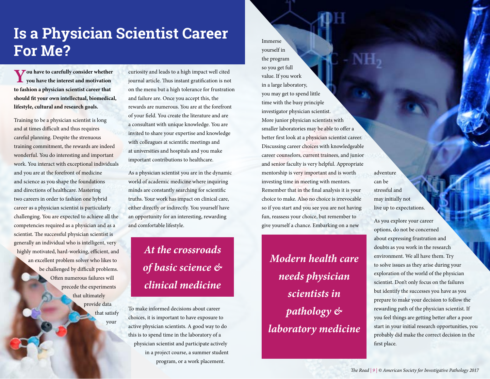## **Is a Physician Scientist Career For Me?**

**You have to carefully consider whether you have the interest and motivation to fashion a physician scientist career that should fit your own intellectual, biomedical, lifestyle, cultural and research goals.** 

Training to be a physician scientist is long and at times difficult and thus requires careful planning. Despite the strenuous training commitment, the rewards are indeed wonderful. You do interesting and important work. You interact with exceptional individuals and you are at the forefront of medicine and science as you shape the foundations and directions of healthcare. Mastering two careers in order to fashion one hybrid career as a physician scientist is particularly challenging. You are expected to achieve all the competencies required as a physician and as a scientist. The successful physician scientist is generally an individual who is intelligent, very highly motivated, hard-working, efficient, and an excellent problem solver who likes to be challenged by difficult problems. Often numerous failures will precede the experiments that ultimately provide data that satisfy

your

curiosity and leads to a high impact well cited journal article. Thus instant gratification is not on the menu but a high tolerance for frustration and failure are. Once you accept this, the rewards are numerous. You are at the forefront of your field. You create the literature and are a consultant with unique knowledge. You are invited to share your expertise and knowledge with colleagues at scientific meetings and at universities and hospitals and you make important contributions to healthcare.

As a physician scientist you are in the dynamic world of academic medicine where inquiring minds are constantly searching for scientific truths. Your work has impact on clinical care, either directly or indirectly. You yourself have an opportunity for an interesting, rewarding and comfortable lifestyle.

## *At the crossroads of basic science & clinical medicine*

To make informed decisions about career choices, it is important to have exposure to active physician scientists. A good way to do this is to spend time in the laboratory of a physician scientist and participate actively in a project course, a summer student program, or a work placement.

Immerse yourself in the program so you get full value. If you work in a large laboratory, you may get to spend little time with the busy principle investigator physician scientist. More junior physician scientists with smaller laboratories may be able to offer a better first look at a physician scientist career. Discussing career choices with knowledgeable career counselors, current trainees, and junior and senior faculty is very helpful. Appropriate mentorship is very important and is worth investing time in meeting with mentors. Remember that in the final analysis it is your choice to make. Also no choice is irrevocable so if you start and you see you are not having fun, reassess your choice, but remember to give yourself a chance. Embarking on a new

*Modern health care needs physician scientists in pathology & laboratory medicine*

adventure can be stressful and may initially not live up to expectations.

As you explore your career options, do not be concerned about expressing frustration and doubts as you work in the research environment. We all have them. Try to solve issues as they arise during your exploration of the world of the physician scientist. Don't only focus on the failures but identify the successes you have as you prepare to make your decision to follow the rewarding path of the physician scientist. If you feel things are getting better after a poor start in your initial research opportunities, you probably did make the correct decision in the first place.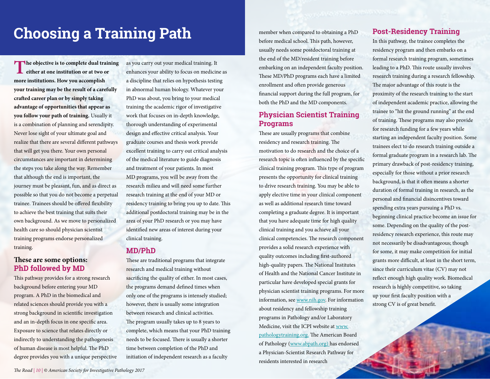# **Choosing a Training Path** member when compared to obtaining a PhD

**The objective is to complete dual training <u>L</u>** either at one institution or at two or **more institutions. How you accomplish your training may be the result of a carefully crafted career plan or by simply taking advantage of opportunities that appear as you follow your path of training.** Usually it is a combination of planning and serendipity. Never lose sight of your ultimate goal and realize that there are several different pathways that will get you there. Your own personal circumstances are important in determining the steps you take along the way. Remember that although the end is important, the journey must be pleasant, fun, and as direct as possible so that you do not become a perpetual trainee. Trainees should be offered flexibility to achieve the best training that suits their own background. As we move to personalized health care so should physician scientist training programs endorse personalized training.

### **These are some options: PhD followed by MD**

This pathway provides for a strong research background before entering your MD program. A PhD in the biomedical and related sciences should provide you with a strong background in scientific investigation and an in-depth focus in one specific area. Exposure to science that relates directly or indirectly to understanding the pathogenesis of human disease is most helpful. The PhD degree provides you with a unique perspective as you carry out your medical training. It enhances your ability to focus on medicine as a discipline that relies on hypothesis testing in abnormal human biology. Whatever your PhD was about, you bring to your medical training the academic rigor of investigative work that focuses on in-depth knowledge, thorough understanding of experimental design and effective critical analysis. Your graduate courses and thesis work provide excellent training to carry out critical analysis of the medical literature to guide diagnosis and treatment of your patients. In most MD programs, you will be away from the research milieu and will need some further research training at the end of your MD or residency training to bring you up to date. This additional postdoctoral training may be in the area of your PhD research or you may have identified new areas of interest during your clinical training.

## **MD/PhD**

These are traditional programs that integrate research and medical training without sacrificing the quality of either. In most cases, the programs demand defined times when only one of the programs is intensely studied; however, there is usually some integration between research and clinical activities. The program usually takes up to 8 years to complete, which means that your PhD training needs to be focused. There is usually a shorter time between completion of the PhD and initiation of independent research as a faculty

before medical school. This path, however, usually needs some postdoctoral training at the end of the MD/resident training before embarking on an independent faculty position. These MD/PhD programs each have a limited enrollment and often provide generous financial support during the full program, for both the PhD and the MD components.

### **Physician Scientist Training Programs**

These are usually programs that combine residency and research training. The motivation to do research and the choice of a research topic is often influenced by the specific clinical training program. This type of program presents the opportunity for clinical training to drive research training. You may be able to apply elective time in your clinical component as well as additional research time toward completing a graduate degree. It is important that you have adequate time for high quality clinical training and you achieve all your clinical competencies. The research component provides a solid research experience with quality outcomes including first-authored high-quality papers. The National Institutes of Health and the National Cancer Institute in particular have developed special grants for physician scientist training programs. For more information, see [www.nih.gov.](http://www.nih.gov) For information about residency and fellowship training programs in Pathology and/or Laboratory Medicine, visit the ICPI website at [www.](http://) [pathologytraining.org.](http://) The American Board of Pathology [\(www.abpath.org\)](www.abpath.org).) has endorsed a Physician-Scientist Research Pathway for residents interested in research

### **Post-Residency Training**

In this pathway, the trainee completes the residency program and then embarks on a formal research training program, sometimes leading to a PhD. This route usually involves research training during a research fellowship. The major advantage of this route is the proximity of the research training to the start of independent academic practice, allowing the trainee to "hit the ground running" at the end of training. These programs may also provide for research funding for a few years while starting an independent faculty position. Some trainees elect to do research training outside a formal graduate program in a research lab. The primary drawback of post-residency training, especially for those without a prior research background, is that it often means a shorter duration of formal training in research, as the personal and financial disincentives toward spending extra years pursuing a PhD vs. beginning clinical practice become an issue for some. Depending on the quality of the postresidency research experience, this route may not necessarily be disadvantageous; though for some, it may make competition for initial grants more difficult, at least in the short term, since their curriculum vitae (CV) may not reflect enough high quality work. Biomedical research is highly competitive, so taking up your first faculty position with a strong CV is of great benefit.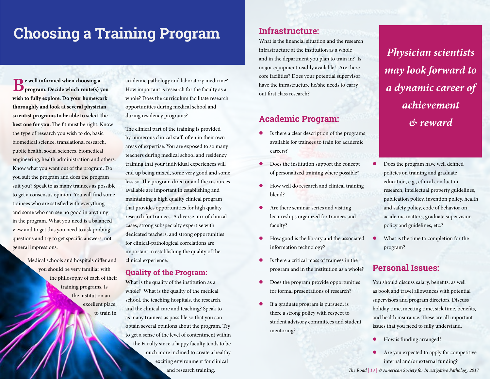## **Choosing a Training Program Manufacture:**

**Be well informed when choosing a program. Decide which route(s) you wish to fully explore. Do your homework thoroughly and look at several physician scientist programs to be able to select the best one for you.** The fit must be right. Know the type of research you wish to do; basic biomedical science, translational research, public health, social sciences, biomedical engineering, health administration and others. Know what you want out of the program. Do you suit the program and does the program suit you? Speak to as many trainees as possible to get a consensus opinion. You will find some trainees who are satisfied with everything and some who can see no good in anything in the program. What you need is a balanced view and to get this you need to ask probing questions and try to get specific answers, not general impressions.

> Medical schools and hospitals differ and you should be very familiar with the philosophy of each of their training programs. Is the institution an excellent place to train in

academic pathology and laboratory medicine? How important is research for the faculty as a whole? Does the curriculum facilitate research opportunities during medical school and during residency programs?

The clinical part of the training is provided by numerous clinical staff, often in their own areas of expertise. You are exposed to so many teachers during medical school and residency training that your individual experiences will end up being mixed, some very good and some less so. The program director and the resources available are important in establishing and maintaining a high quality clinical program that provides opportunities for high quality research for trainees. A diverse mix of clinical cases, strong subspecialty expertise with dedicated teachers, and strong opportunities for clinical-pathological correlations are important in establishing the quality of the clinical experience.

### **Quality of the Program:**

What is the quality of the institution as a whole? What is the quality of the medical school, the teaching hospitals, the research, and the clinical care and teaching? Speak to as many trainees as possible so that you can obtain several opinions about the program. Try to get a sense of the level of contentment within the Faculty since a happy faculty tends to be much more inclined to create a healthy exciting environment for clinical and research training.

What is the financial situation and the research infrastructure at the institution as a whole and in the department you plan to train in? Is major equipment readily available? Are there core facilities? Does your potential supervisor have the infrastructure he/she needs to carry out first class research?

## **Academic Program:**

- Is there a clear description of the programs available for trainees to train for academic careers?
- **•** Does the institution support the concept of personalized training where possible?
- How well do research and clinical training blend?
- Are there seminar series and visiting lectureships organized for trainees and faculty?
- How good is the library and the associated information technology?
- Is there a critical mass of trainees in the program and in the institution as a whole?
- Does the program provide opportunities for formal presentations of research?
- If a graduate program is pursued, is there a strong policy with respect to student advisory committees and student mentoring?

*Physician scientists may look forward to a dynamic career of achievement & reward*

- Does the program have well defined policies on training and graduate education, e.g., ethical conduct in research, intellectual property guidelines, publication policy, invention policy, health and safety policy, code of behavior on academic matters, graduate supervision policy and guidelines, etc.?
- What is the time to completion for the program?

## **Personal Issues:**

You should discuss salary, benefits, as well as book and travel allowances with potential supervisors and program directors. Discuss holiday time, meeting time, sick time, benefits, and health insurance. These are all important issues that you need to fully understand.

- How is funding arranged?
- Are you expected to apply for competitive internal and/or external funding?

*The Road | 12 | © American Society for Investigative Pathology 2017 The Road | 13 | © American Society for Investigative Pathology 2017*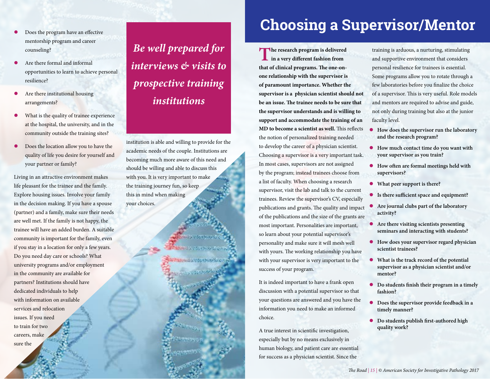- Does the program have an effective mentorship program and career counseling?
- Are there formal and informal opportunities to learn to achieve personal resilience?
- Are there institutional housing arrangements?
- What is the quality of trainee experience at the hospital, the university, and in the community outside the training sites?
- Does the location allow you to have the quality of life you desire for yourself and your partner or family?

Living in an attractive environment makes life pleasant for the trainee and the family. Explore housing issues. Involve your family in the decision making. If you have a spouse (partner) and a family, make sure their needs are well met. If the family is not happy, the trainee will have an added burden. A suitable community is important for the family, even if you stay in a location for only a few years. Do you need day care or schools? What university programs and/or employment in the community are available for partners? Institutions should have dedicated individuals to help with information on available services and relocation issues. If you need to train for two careers, make sure the

*Be well prepared for interviews & visits to prospective training institutions*

institution is able and willing to provide for the academic needs of the couple. Institutions are becoming much more aware of this need and should be willing and able to discuss this with you. It is very important to make the training journey fun, so keep this in mind when making your choices.

**TIMESTOS ENSURES** 

## **Choosing a Supervisor/Mentor**

**The research program is delivered in a very different fashion from that of clinical programs. The one-onone relationship with the supervisor is of paramount importance. Whether the supervisor is a physician scientist should not be an issue. The trainee needs to be sure that the supervisor understands and is willing to support and accommodate the training of an MD to become a scientist as well.** This reflects the notion of personalized training needed to develop the career of a physician scientist. Choosing a supervisor is a very important task. In most cases, supervisors are not assigned by the program; instead trainees choose from a list of faculty. When choosing a research supervisor, visit the lab and talk to the current trainees. Review the supervisor's CV, especially publications and grants. The quality and impact of the publications and the size of the grants are most important. Personalities are important, so learn about your potential supervisor's personality and make sure it will mesh well with yours. The working relationship you have with your supervisor is very important to the success of your program.

It is indeed important to have a frank open discussion with a potential supervisor so that your questions are answered and you have the information you need to make an informed choice.

A true interest in scientific investigation, especially but by no means exclusively in human biology, and patient care are essential for success as a physician scientist. Since the

training is arduous, a nurturing, stimulating and supportive environment that considers personal resilience for trainees is essential. Some programs allow you to rotate through a few laboratories before you finalize the choice of a supervisor. This is very useful. Role models and mentors are required to advise and guide, not only during training but also at the junior faculty level.

- **How does the supervisor run the laboratory and the research program?**
- **How much contact time do you want with your supervisor as you train?**
- **How often are formal meetings held with supervisors?**
- **What peer support is there?**
- **Is there sufficient space and equipment?**
- **Are journal clubs part of the laboratory activity?**
- **Are there visiting scientists presenting seminars and interacting with students?**
- **How does your supervisor regard physician scientist trainees?**
- **What is the track record of the potential supervisor as a physician scientist and/or mentor?**
- **Do students finish their program in a timely fashion?**
- **Does the supervisor provide feedback in a timely manner?**
- **Do students publish first-authored high quality work?**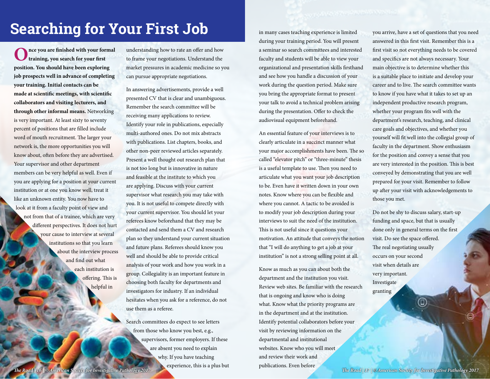# Searching for Your First Job **in many cases teaching experience is limited**

**Once you are finished with your formal training, you search for your first position. You should have been exploring job prospects well in advance of completing your training. Initial contacts can be made at scientific meetings, with scientific collaborators and visiting lecturers, and through other informal means.** Networking is very important. At least sixty to seventy percent of positions that are filled include word of mouth recruitment. The larger your network is, the more opportunities you will know about, often before they are advertised. Your supervisor and other department members can be very helpful as well. Even if you are applying for a position at your current institution or at one you know well, treat it like an unknown entity. You now have to look at it from a faculty point of view and not from that of a trainee, which are very different perspectives. It does not hurt your cause to interview at several institutions so that you learn about the interview process and find out what each institution is offering. This is helpful in

understanding how to rate an offer and how to frame your negotiations. Understand the market pressures in academic medicine so you can pursue appropriate negotiations.

In answering advertisements, provide a well presented CV that is clear and unambiguous. Remember the search committee will be receiving many applications to review. Identify your role in publications, especially multi-authored ones. Do not mix abstracts with publications. List chapters, books, and other non-peer reviewed articles separately. Present a well thought out research plan that is not too long but is innovative in nature and feasible at the institute to which you are applying. Discuss with your current supervisor what research you may take with you. It is not useful to compete directly with your current supervisor. You should let your referees know beforehand that they may be contacted and send them a CV and research plan so they understand your current situation and future plans. Referees should know you well and should be able to provide critical analysis of your work and how you work in a group. Collegiality is an important feature in choosing both faculty for departments and investigators for industry. If an individual hesitates when you ask for a reference, do not use them as a referee.

Search committees do expect to see letters from those who know you best, e.g., supervisors, former employers. If these are absent you need to explain why. If you have teaching experience, this is a plus but

during your training period. You will present a seminar so search committees and interested faculty and students will be able to view your organizational and presentation skills firsthand and see how you handle a discussion of your work during the question period. Make sure you bring the appropriate format to present your talk to avoid a technical problem arising during the presentation. Offer to check the audiovisual equipment beforehand.

An essential feature of your interviews is to clearly articulate in a succinct manner what your major accomplishments have been. The so called "elevator pitch" or "three-minute" thesis is a useful template to use. Then you need to articulate what you want your job description to be. Even have it written down in your own notes. Know where you can be flexible and where you cannot. A tactic to be avoided is to modify your job description during your interviews to suit the need of the institution. This is not useful since it questions your motivation. An attitude that conveys the notion that "I will do anything to get a job at your institution" is not a strong selling point at all.

Know as much as you can about both the department and the institution you visit. Review web sites. Be familiar with the research that is ongoing and know who is doing what. Know what the priority programs are in the department and at the institution. Identify potential collaborators before your visit by reviewing information on the departmental and institutional websites. Know who you will meet and review their work and publications. Even before

you arrive, have a set of questions that you need answered in this first visit. Remember this is a first visit so not everything needs to be covered and specifics are not always necessary. Your main objective is to determine whether this is a suitable place to initiate and develop your career and to live. The search committee wants to know if you have what it takes to set up an independent productive research program, whether your program fits well with the department's research, teaching, and clinical care goals and objectives, and whether you yourself will fit well into the collegial group of faculty in the department. Show enthusiasm for the position and convey a sense that you are very interested in the position. This is best conveyed by demonstrating that you are well prepared for your visit. Remember to follow up after your visit with acknowledgements to those you met.

Do not be shy to discuss salary, start-up funding and space, but that is usually done only in general terms on the first visit. Do see the space offered. The real negotiating usually occurs on your second visit when details are very important. Investigate granting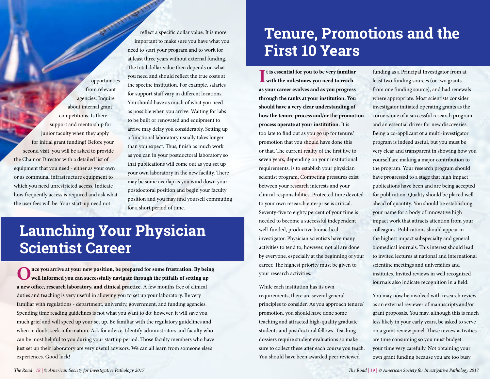opportunities from relevant agencies. Inquire about internal grant competitions. Is there support and mentorship for junior faculty when they apply for initial grant funding? Before your second visit, you will be asked to provide the Chair or Director with a detailed list of equipment that you need - either as your own or as communal infrastructure equipment to which you need unrestricted access. Indicate how frequently access is required and ask what the user fees will be. Your start-up need not

reflect a specific dollar value. It is more important to make sure you have what you need to start your program and to work for at least three years without external funding. The total dollar value then depends on what you need and should reflect the true costs at the specific institution. For example, salaries for support staff vary in different locations. You should have as much of what you need as possible when you arrive. Waiting for labs to be built or renovated and equipment to arrive may delay you considerably. Setting up a functional laboratory usually takes longer than you expect. Thus, finish as much work as you can in your postdoctoral laboratory so that publications will come out as you set up your own laboratory in the new facility. There may be some overlap as you wind down your postdoctoral position and begin your faculty position and you may find yourself commuting for a short period of time.

## **Launching Your Physician Scientist Career**

Once you arrive at your new position, be prepared for some frustration. By being well informed you can successfully navigate through the pitfalls of setting up **a new office, research laboratory, and clinical practice.** A few months free of clinical duties and teaching is very useful in allowing you to set up your laboratory. Be very familiar with regulations - department, university, government, and funding agencies. Spending time reading guidelines is not what you want to do; however, it will save you much grief and will speed up your set up. Be familiar with the regulatory guidelines and when in doubt seek information. Ask for advice. Identify administrators and faculty who can be most helpful to you during your start up period. Those faculty members who have just set up their laboratory are very useful advisors. We can all learn from someone else's experiences. Good luck!

# **Tenure, Promotions and the First 10 Years**

**I with the milestones you need to reach t is essential for you to be very familiar as your career evolves and as you progress through the ranks at your institution. You should have a very clear understanding of how the tenure process and/or the promotion process operate at your institution.** It is too late to find out as you go up for tenure/ promotion that you should have done this or that. The current reality of the first five to seven years, depending on your institutional requirements, is to establish your physician scientist program. Competing pressures exist between your research interests and your clinical responsibilities. Protected time devoted to your own research enterprise is critical. Seventy-five to eighty percent of your time is needed to become a successful independent well-funded, productive biomedical investigator. Physician scientists have many activities to tend to; however, not all are done by everyone, especially at the beginning of your career. The highest priority must be given to your research activities.

While each institution has its own requirements, there are several general principles to consider. As you approach tenure/ promotion, you should have done some teaching and attracted high-quality graduate students and postdoctoral fellows. Teaching dossiers require student evaluations so make sure to collect these after each course you teach. You should have been awarded peer reviewed

funding as a Principal Investigator from at least two funding sources (or two grants from one funding source), and had renewals where appropriate. Most scientists consider investigator initiated operating grants as the cornerstone of a successful research program and an essential driver for new discoveries. Being a co-applicant of a multi-investigator program is indeed useful, but you must be very clear and transparent in showing how you yourself are making a major contribution to the program. Your research program should have progressed to a stage that high impact publications have been and are being accepted for publication. Quality should be placed well ahead of quantity. You should be establishing your name for a body of innovative high impact work that attracts attention from your colleagues. Publications should appear in the highest impact subspecialty and general biomedical journals. This interest should lead to invited lectures at national and international scientific meetings and universities and institutes. Invited reviews in well recognized journals also indicate recognition in a field.

You may now be involved with research review as an external reviewer of manuscripts and/or grant proposals. You may, although this is much less likely in your early years, be asked to serve on a grant review panel. These review activities are time consuming so you must budget your time very carefully. Not obtaining your own grant funding because you are too busy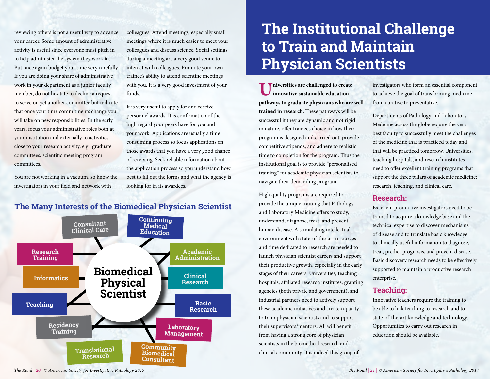reviewing others is not a useful way to advance your career. Some amount of administrative activity is useful since everyone must pitch in to help administer the system they work in. But once again budget your time very carefully. If you are doing your share of administrative work in your department as a junior faculty member, do not hesitate to decline a request to serve on yet another committee but indicate that once your time commitments change you will take on new responsibilities. In the early years, focus your administrative roles both at your institution and externally to activities close to your research activity, e.g., graduate committees, scientific meeting program committees.

You are not working in a vacuum, so know the investigators in your field and network with

colleagues. Attend meetings, especially small meetings where it is much easier to meet your colleagues and discuss science. Social settings during a meeting are a very good venue to interact with colleagues. Promote your own trainee's ability to attend scientific meetings with you. It is a very good investment of your funds.

It is very useful to apply for and receive personnel awards. It is confirmation of the high regard your peers have for you and your work. Applications are usually a time consuming process so focus applications on those awards that you have a very good chance of receiving. Seek reliable information about the application process so you understand how best to fill out the forms and what the agency is looking for in its awardees.

### **The Many Interests of the Biomedical Physician Scientist**



## **The Institutional Challenge to Train and Maintain Physician Scientists**

**Universities are challenged to create innovative sustainable education pathways to graduate physicians who are well trained in research.** These pathways will be successful if they are dynamic and not rigid in nature, offer trainees choice in how their program is designed and carried out, provide competitive stipends, and adhere to realistic time to completion for the program. Thus the institutional goal is to provide "personalized training" for academic physician scientists to navigate their demanding program.

High quality programs are required to provide the unique training that Pathology and Laboratory Medicine offers to study, understand, diagnose, treat, and prevent human disease. A stimulating intellectual environment with state-of-the-art resources and time dedicated to research are needed to launch physician scientist careers and support their productive growth, especially in the early stages of their careers. Universities, teaching hospitals, affiliated research institutes, granting agencies (both private and government), and industrial partners need to actively support these academic initiatives and create capacity to train physician scientists and to support their supervisors/mentors. All will benefit from having a strong core of physician scientists in the biomedical research and clinical community. It is indeed this group of

investigators who form an essential component to achieve the goal of transforming medicine from curative to preventative.

Departments of Pathology and Laboratory Medicine across the globe require the very best faculty to successfully meet the challenges of the medicine that is practiced today and that will be practiced tomorrow. Universities, teaching hospitals, and research institutes need to offer excellent training programs that support the three pillars of academic medicine: research, teaching, and clinical care.

### **Research:**

Excellent productive investigators need to be trained to acquire a knowledge base and the technical expertise to discover mechanisms of disease and to translate basic knowledge to clinically useful information to diagnose, treat, predict prognosis, and prevent disease. Basic discovery research needs to be effectively supported to maintain a productive research enterprise.

### **Teaching:**

Innovative teachers require the training to be able to link teaching to research and to state-of-the-art knowledge and technology. Opportunities to carry out research in education should be available.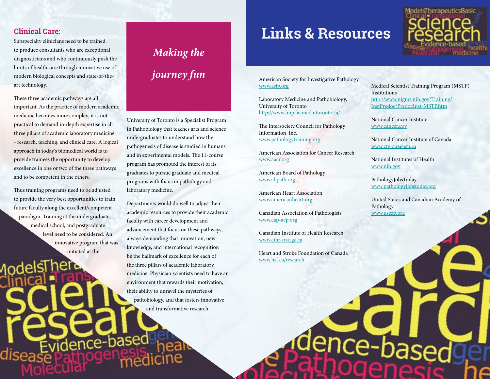### **Clinical Care:**

Subspecialty clinicians need to be trained to produce consultants who are exceptional diagnosticians and who continuously push the limits of health care through innovative use of modern biological concepts and state-of-theart technology.

These three academic pathways are all important. As the practice of modern academic medicine becomes more complex, it is not practical to demand in-depth expertise in all three pillars of academic laboratory medicine - research, teaching, and clinical care. A logical approach in today's biomedical world is to provide trainees the opportunity to develop excellence in one or two of the three pathways and to be competent in the others.

Thus training programs need to be adjusted to provide the very best opportunities to train future faculty along the excellent/competent paradigm. Training at the undergraduate, medical school, and postgraduate level need to be considered. An innovative program that was initiated at the

idence-base

Aodels.

disease

# *Making the journey fun*

University of Toronto is a Specialist Program in Pathobiology that teaches arts and science undergraduates to understand how the pathogenesis of disease is studied in humans and in experimental models. The 11-course program has promoted the interest of its graduates to pursue graduate and medical programs with focus in pathology and laboratory medicine.

Departments would do well to adjust their academic resources to provide their academic faculty with career development and advancement that focus on these pathways, always demanding that innovation, new knowledge, and international recognition be the hallmark of excellence for each of the three pillars of academic laboratory medicine. Physician scientists need to have an environment that rewards their motivation, their ability to unravel the mysteries of pathobiology, and that fosters innovative and transformative research.

## **Links & Resources**

American Society for Investigative Pathology [www.asip.org](http://www.asip.org/)

Laboratory Medicine and Pathobiology, University of Toronto <http://www.lmp.facmed.utoronto.ca/>

The Intersociety Council for Pathology Information, Inc. [www.pathologytraining.org](http://www.pathologytraining.org/)

American Association for Cancer Research [www.aacr.org](http://www.aacr.org/)

American Board of Pathology www.abpath.org

American Heart Association [www.americanheart.org](http://www.americanheart.org/)

Canadian Association of Pathologists [www.cap-acp.org](http://www.cap-acp.org)

Canadian Institute of Health Research [www.cihr-irsc.gc.ca](http://www.cihr-irsc.gc.ca/)

Heart and Stroke Foundation of Canada [www.hsf.ca/research](http://www.hsf.ca/research)

*The Road | 22 | © American Society for Investigative Pathology 2017 The Road | 23 | © American Society for Investigative Pathology 2017*

Medical Scientist Training Program (MSTP) Institutions [http://www.nigms.nih.gov/Training/](http://www.nigms.nih.gov/Training/InstPredoc/PredocInst-MSTP.htm) [InstPredoc/PredocInst-MSTP.htm](http://www.nigms.nih.gov/Training/InstPredoc/PredocInst-MSTP.htm)

National Cancer Institute [www.cancer.gov](http://www.cancer.gov/)

National Cancer Institute of Canada [www.ctg.queensu.ca](http://www.ctg.queensu.ca/)

National Institutes of Health [www.nih.gov](http://www.nih.gov/)

PathologyJobsToday [www.pathologyjobstoday.org](http://www.pathologyjobstoday.org/)

nce-ba

United States and Canadian Academy of Pathology [www.uscap.org](file:///C:\Users\DPellerin\Desktop\www.uscap.org)